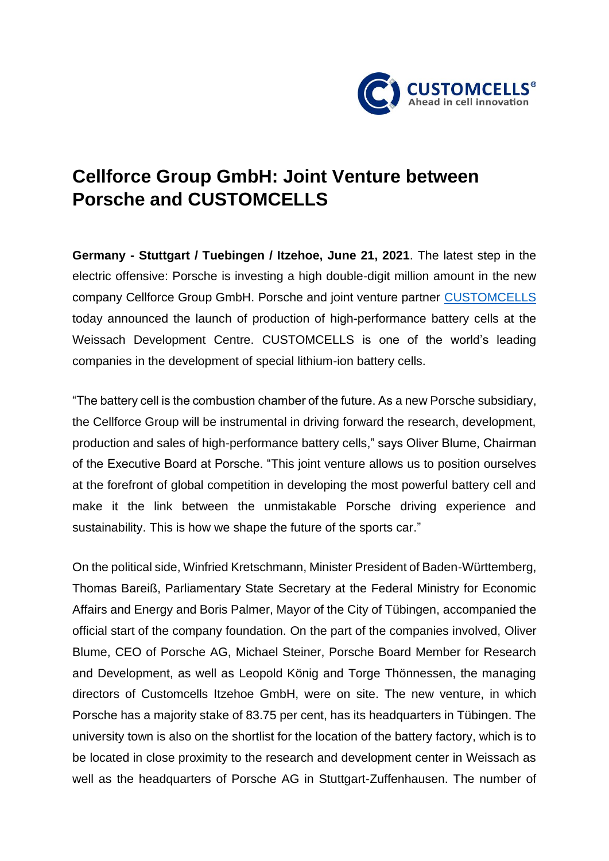

## **Cellforce Group GmbH: Joint Venture between Porsche and CUSTOMCELLS**

**Germany - Stuttgart / Tuebingen / Itzehoe, June 21, 2021**. The latest step in the electric offensive: Porsche is investing a high double-digit million amount in the new company Cellforce Group GmbH. Porsche and joint venture partner [CUSTOMCELLS](https://www.customcells.org/) today announced the launch of production of high-performance battery cells at the Weissach Development Centre. CUSTOMCELLS is one of the world's leading companies in the development of special lithium-ion battery cells.

"The battery cell is the combustion chamber of the future. As a new Porsche subsidiary, the Cellforce Group will be instrumental in driving forward the research, development, production and sales of high-performance battery cells," says Oliver Blume, Chairman of the Executive Board at Porsche. "This joint venture allows us to position ourselves at the forefront of global competition in developing the most powerful battery cell and make it the link between the unmistakable Porsche driving experience and sustainability. This is how we shape the future of the sports car."

On the political side, Winfried Kretschmann, Minister President of Baden-Württemberg, Thomas Bareiß, Parliamentary State Secretary at the Federal Ministry for Economic Affairs and Energy and Boris Palmer, Mayor of the City of Tübingen, accompanied the official start of the company foundation. On the part of the companies involved, Oliver Blume, CEO of Porsche AG, Michael Steiner, Porsche Board Member for Research and Development, as well as Leopold König and Torge Thönnessen, the managing directors of Customcells Itzehoe GmbH, were on site. The new venture, in which Porsche has a majority stake of 83.75 per cent, has its headquarters in Tübingen. The university town is also on the shortlist for the location of the battery factory, which is to be located in close proximity to the research and development center in Weissach as well as the headquarters of Porsche AG in Stuttgart-Zuffenhausen. The number of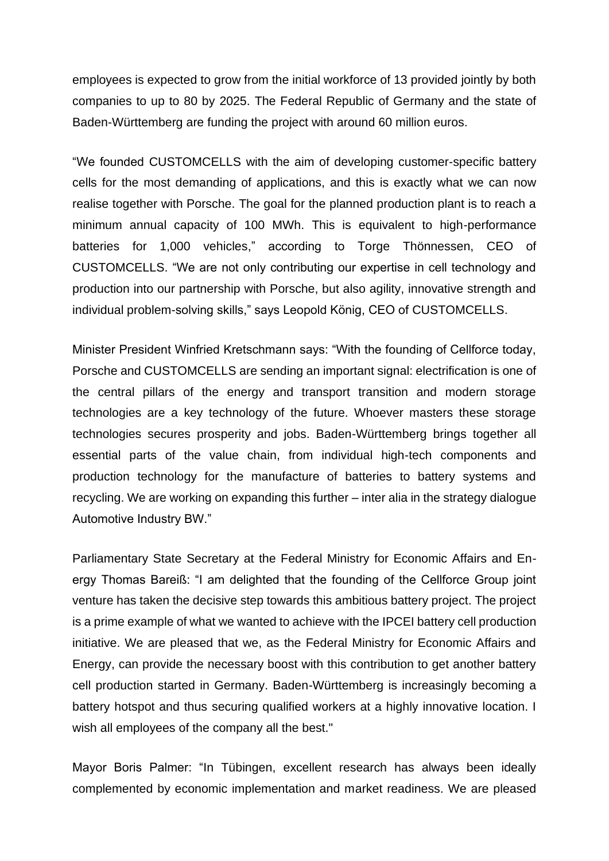employees is expected to grow from the initial workforce of 13 provided jointly by both companies to up to 80 by 2025. The Federal Republic of Germany and the state of Baden-Württemberg are funding the project with around 60 million euros.

"We founded CUSTOMCELLS with the aim of developing customer-specific battery cells for the most demanding of applications, and this is exactly what we can now realise together with Porsche. The goal for the planned production plant is to reach a minimum annual capacity of 100 MWh. This is equivalent to high-performance batteries for 1,000 vehicles," according to Torge Thönnessen, CEO of CUSTOMCELLS. "We are not only contributing our expertise in cell technology and production into our partnership with Porsche, but also agility, innovative strength and individual problem-solving skills," says Leopold König, CEO of CUSTOMCELLS.

Minister President Winfried Kretschmann says: "With the founding of Cellforce today, Porsche and CUSTOMCELLS are sending an important signal: electrification is one of the central pillars of the energy and transport transition and modern storage technologies are a key technology of the future. Whoever masters these storage technologies secures prosperity and jobs. Baden-Württemberg brings together all essential parts of the value chain, from individual high-tech components and production technology for the manufacture of batteries to battery systems and recycling. We are working on expanding this further – inter alia in the strategy dialogue Automotive Industry BW."

Parliamentary State Secretary at the Federal Ministry for Economic Affairs and Energy Thomas Bareiß: "I am delighted that the founding of the Cellforce Group joint venture has taken the decisive step towards this ambitious battery project. The project is a prime example of what we wanted to achieve with the IPCEI battery cell production initiative. We are pleased that we, as the Federal Ministry for Economic Affairs and Energy, can provide the necessary boost with this contribution to get another battery cell production started in Germany. Baden-Württemberg is increasingly becoming a battery hotspot and thus securing qualified workers at a highly innovative location. I wish all employees of the company all the best."

Mayor Boris Palmer: "In Tübingen, excellent research has always been ideally complemented by economic implementation and market readiness. We are pleased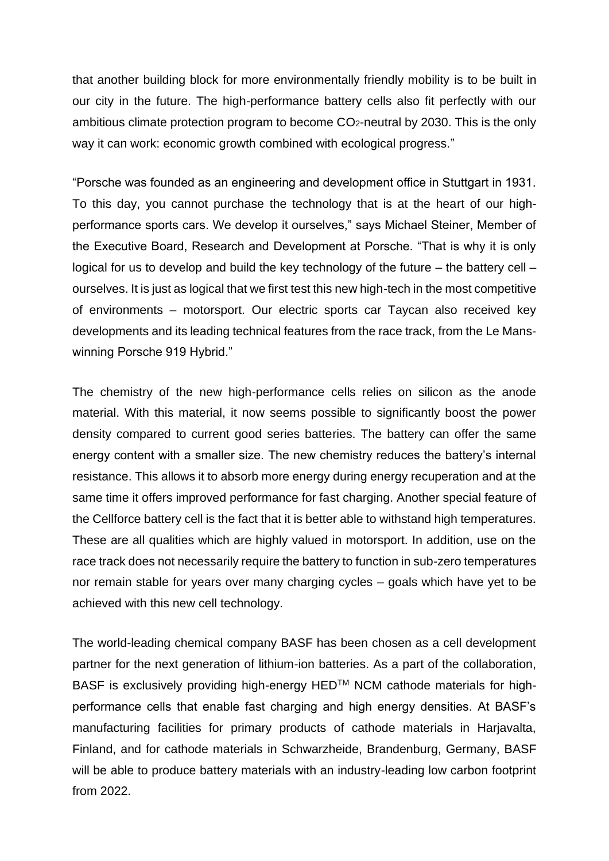that another building block for more environmentally friendly mobility is to be built in our city in the future. The high-performance battery cells also fit perfectly with our ambitious climate protection program to become  $CO<sub>2</sub>$ -neutral by 2030. This is the only way it can work: economic growth combined with ecological progress."

"Porsche was founded as an engineering and development office in Stuttgart in 1931. To this day, you cannot purchase the technology that is at the heart of our highperformance sports cars. We develop it ourselves," says Michael Steiner, Member of the Executive Board, Research and Development at Porsche. "That is why it is only logical for us to develop and build the key technology of the future – the battery cell – ourselves. It is just as logical that we first test this new high-tech in the most competitive of environments – motorsport. Our electric sports car Taycan also received key developments and its leading technical features from the race track, from the Le Manswinning Porsche 919 Hybrid."

The chemistry of the new high-performance cells relies on silicon as the anode material. With this material, it now seems possible to significantly boost the power density compared to current good series batteries. The battery can offer the same energy content with a smaller size. The new chemistry reduces the battery's internal resistance. This allows it to absorb more energy during energy recuperation and at the same time it offers improved performance for fast charging. Another special feature of the Cellforce battery cell is the fact that it is better able to withstand high temperatures. These are all qualities which are highly valued in motorsport. In addition, use on the race track does not necessarily require the battery to function in sub-zero temperatures nor remain stable for years over many charging cycles – goals which have yet to be achieved with this new cell technology.

The world-leading chemical company BASF has been chosen as a cell development partner for the next generation of lithium-ion batteries. As a part of the collaboration, BASF is exclusively providing high-energy HED<sup>™</sup> NCM cathode materials for highperformance cells that enable fast charging and high energy densities. At BASF's manufacturing facilities for primary products of cathode materials in Harjavalta, Finland, and for cathode materials in Schwarzheide, Brandenburg, Germany, BASF will be able to produce battery materials with an industry-leading low carbon footprint from 2022.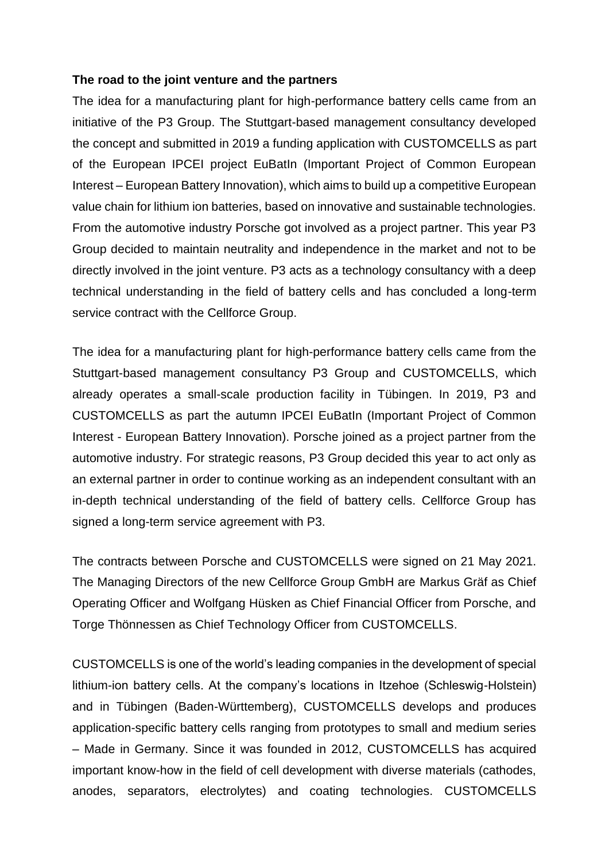## **The road to the joint venture and the partners**

The idea for a manufacturing plant for high-performance battery cells came from an initiative of the P3 Group. The Stuttgart-based management consultancy developed the concept and submitted in 2019 a funding application with CUSTOMCELLS as part of the European IPCEI project EuBatIn (Important Project of Common European Interest – European Battery Innovation), which aims to build up a competitive European value chain for lithium ion batteries, based on innovative and sustainable technologies. From the automotive industry Porsche got involved as a project partner. This year P3 Group decided to maintain neutrality and independence in the market and not to be directly involved in the joint venture. P3 acts as a technology consultancy with a deep technical understanding in the field of battery cells and has concluded a long-term service contract with the Cellforce Group.

The idea for a manufacturing plant for high-performance battery cells came from the Stuttgart-based management consultancy P3 Group and CUSTOMCELLS, which already operates a small-scale production facility in Tübingen. In 2019, P3 and CUSTOMCELLS as part the autumn IPCEI EuBatIn (Important Project of Common Interest - European Battery Innovation). Porsche joined as a project partner from the automotive industry. For strategic reasons, P3 Group decided this year to act only as an external partner in order to continue working as an independent consultant with an in-depth technical understanding of the field of battery cells. Cellforce Group has signed a long-term service agreement with P3.

The contracts between Porsche and CUSTOMCELLS were signed on 21 May 2021. The Managing Directors of the new Cellforce Group GmbH are Markus Gräf as Chief Operating Officer and Wolfgang Hüsken as Chief Financial Officer from Porsche, and Torge Thönnessen as Chief Technology Officer from CUSTOMCELLS.

CUSTOMCELLS is one of the world's leading companies in the development of special lithium-ion battery cells. At the company's locations in Itzehoe (Schleswig-Holstein) and in Tübingen (Baden-Württemberg), CUSTOMCELLS develops and produces application-specific battery cells ranging from prototypes to small and medium series – Made in Germany. Since it was founded in 2012, CUSTOMCELLS has acquired important know-how in the field of cell development with diverse materials (cathodes, anodes, separators, electrolytes) and coating technologies. CUSTOMCELLS